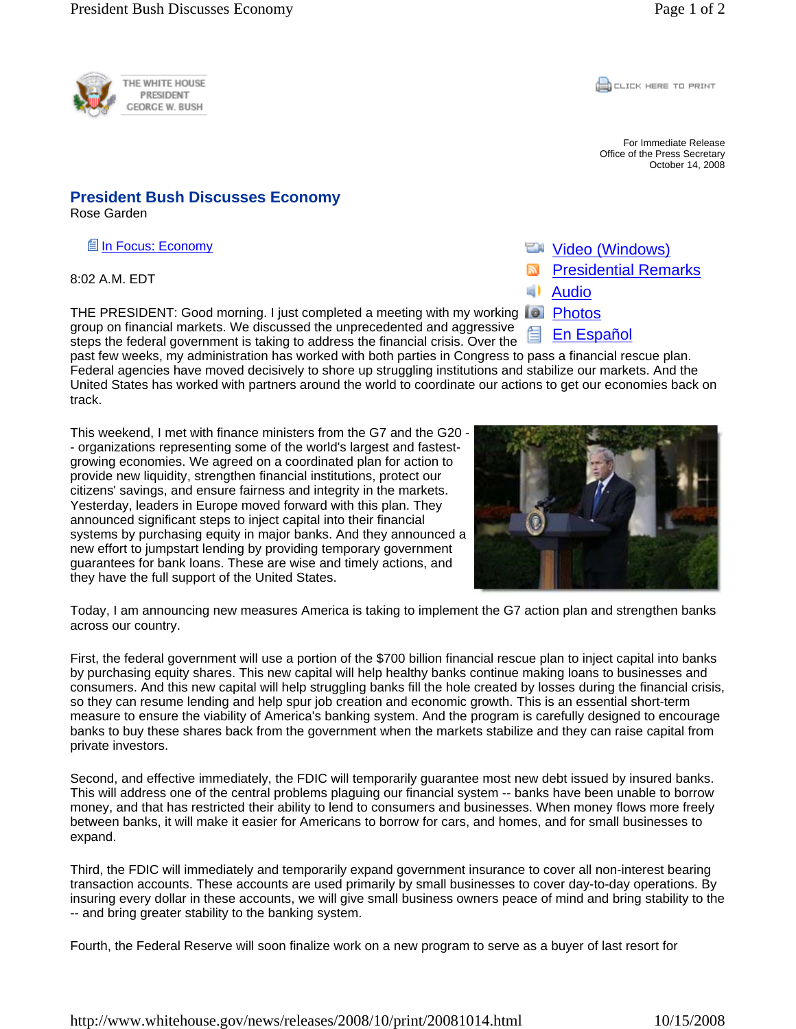

**CLICK HERE TO PRINT** 

For Immediate Release Office of the Press Secretary October 14, 2008

## **President Bush Discusses Economy**

Rose Garden

In Focus: Economy

8:02 A.M. EDT

THE PRESIDENT: Good morning. I just completed a meeting with my working **FI Photos** group on financial markets. We discussed the unprecedented and aggressive steps the federal government is taking to address the financial crisis. Over the

past few weeks, my administration has worked with both parties in Congress to pass a financial rescue plan. Federal agencies have moved decisively to shore up struggling institutions and stabilize our markets. And the United States has worked with partners around the world to coordinate our actions to get our economies back on track.

This weekend, I met with finance ministers from the G7 and the G20 - - organizations representing some of the world's largest and fastestgrowing economies. We agreed on a coordinated plan for action to provide new liquidity, strengthen financial institutions, protect our citizens' savings, and ensure fairness and integrity in the markets. Yesterday, leaders in Europe moved forward with this plan. They announced significant steps to inject capital into their financial systems by purchasing equity in major banks. And they announced a new effort to jumpstart lending by providing temporary government guarantees for bank loans. These are wise and timely actions, and they have the full support of the United States.



Today, I am announcing new measures America is taking to implement the G7 action plan and strengthen banks across our country.

First, the federal government will use a portion of the \$700 billion financial rescue plan to inject capital into banks by purchasing equity shares. This new capital will help healthy banks continue making loans to businesses and consumers. And this new capital will help struggling banks fill the hole created by losses during the financial crisis, so they can resume lending and help spur job creation and economic growth. This is an essential short-term measure to ensure the viability of America's banking system. And the program is carefully designed to encourage banks to buy these shares back from the government when the markets stabilize and they can raise capital from private investors.

Second, and effective immediately, the FDIC will temporarily guarantee most new debt issued by insured banks. This will address one of the central problems plaguing our financial system -- banks have been unable to borrow money, and that has restricted their ability to lend to consumers and businesses. When money flows more freely between banks, it will make it easier for Americans to borrow for cars, and homes, and for small businesses to expand.

Third, the FDIC will immediately and temporarily expand government insurance to cover all non-interest bearing transaction accounts. These accounts are used primarily by small businesses to cover day-to-day operations. By insuring every dollar in these accounts, we will give small business owners peace of mind and bring stability to the -- and bring greater stability to the banking system.

Fourth, the Federal Reserve will soon finalize work on a new program to serve as a buyer of last resort for

- 
- **Wideo (Windows)**
- Presidential Remarks
- Audio
- 
- En Español